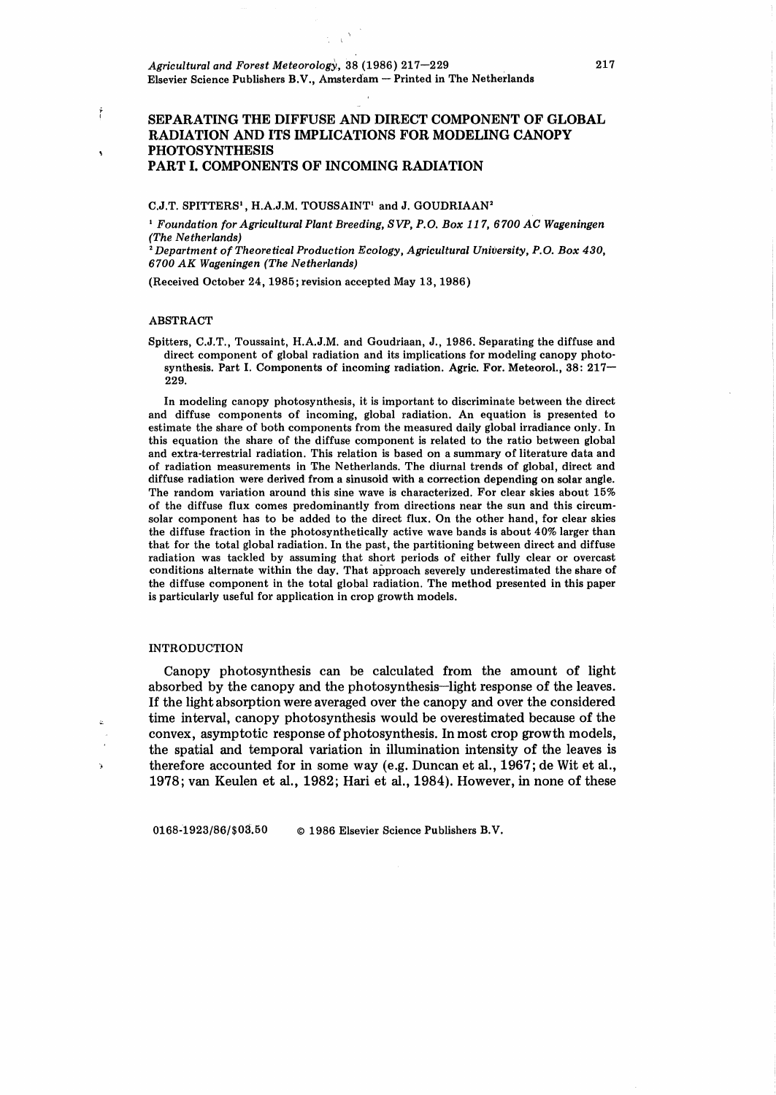## SEPARATING THE DIFFUSE AND DIRECT COMPONENT OF GLOBAL RADIATION AND ITS IMPLICATIONS FOR MODELING CANOPY PHOTOSYNTHESIS PART I. COMPONENTS OF INCOMING RADIATION

## C.J.T. SPITTERS<sup>1</sup>, H.A.J.M. TOUSSAINT<sup>1</sup> and J. GOUDRIAAN<sup>2</sup>

<sup>1</sup>*Foundation for Agricultural Plant Breeding, SVP, P.O. Box 117, 6700 AC Wageningen (The Netherlands)* 

<sup>2</sup>*Department of Theoretical Production Ecology, Agricultural University, P.O. Box 430, 6700 AK Wageningen (The Netherlands)* 

(Received October 24, 1985; revision accepted May 13, 1986)

### ABSTRACT

Ť

Spitters, C.J.T., Toussaint, H.A.J.M. and Goudriaan, J., 1986. Separating the diffuse and direct component of global radiation and its implications for modeling canopy photosynthesis. Part I. Components of incoming radiation. Agric. For. Meteorol., 38: 217- 229.

In modeling canopy photosynthesis, it is important to discriminate between the direct and diffuse components of incoming, global radiation. An equation is presented to estimate the share of both components from the measured daily global irradiance only. In this equation the share of the diffuse component is related to the ratio between global and extra-terrestrial radiation. This relation is based on a summary of literature data and of radiation measurements in The Netherlands. The diurnal trends of global, direct and diffuse radiation were derived from a sinusoid with a correction depending on solar angle. The random variation around this sine wave is characterized. For clear skies about 15% of the diffuse flux comes predominantly from directions near the sun and this circumsolar component has to be added to the direct flux. On the other hand, for clear skies the diffuse fraction in the photosynthetically active wave bands is about 40% larger than that for the total global radiation. In the past, the partitioning between direct and diffuse radiation was tackled by assuming that short periods of either fully clear or overcast conditions alternate within the day. That approach severely underestimated the share of the diffuse component in the total global radiation. The method presented in this paper is particularly useful for application in crop growth models.

### INTRODUCTION

 $\mathbf{A}$ 

Canopy photosynthesis can be calculated from the amount of light absorbed by the canopy and the photosynthesis-light response of the leaves. If the light absorption were averaged over the canopy and over the considered time interval, canopy photosynthesis would be overestimated because of the convex, asymptotic response of photosynthesis. In most crop growth models, the spatial and temporal variation in illumination intensity of the leaves is therefore accounted for in some way (e.g. Duncan et al., 1967; de Wit et al., 1978; van Keulen et al., 1982; Hari et al., 1984). However, in none of these

0168-1923/86/\$03.50 © 1986 Elsevier Science Publishers B.V.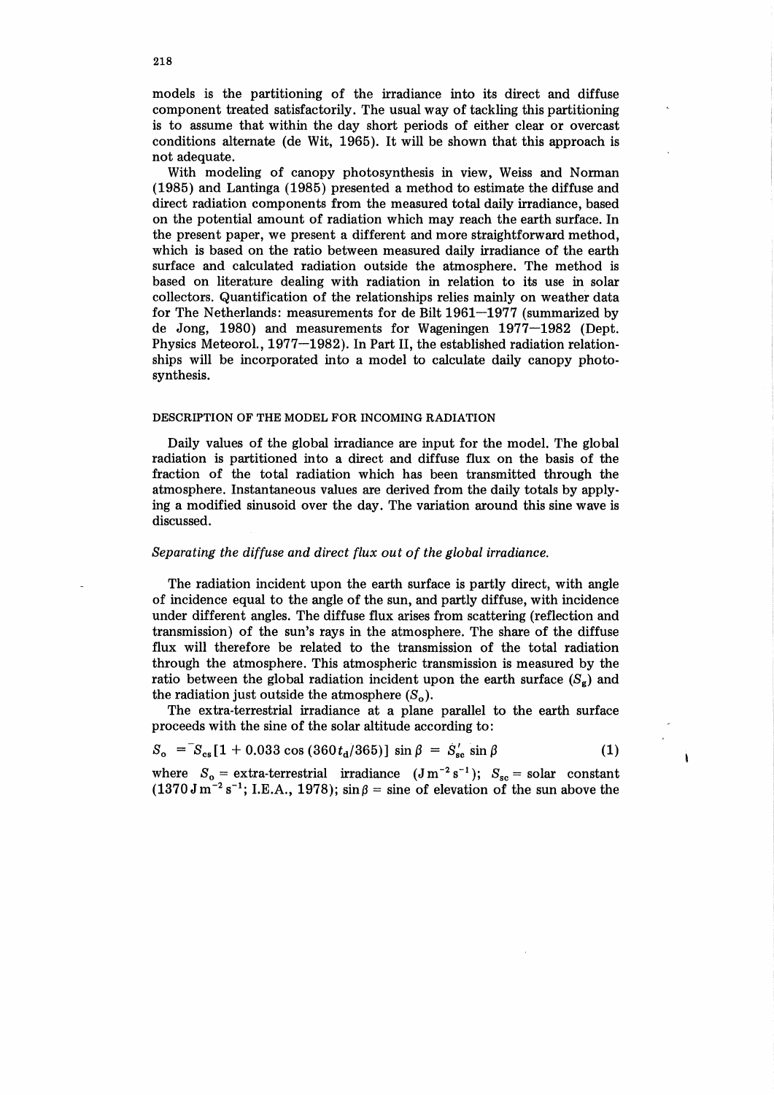models is the partitioning of the irradiance into its direct and diffuse component treated satisfactorily. The usual way of tackling this partitioning is to assume that within the day short periods of either clear or overcast conditions alternate (de Wit, 1965). It will be shown that this approach is not adequate.

With modeling of canopy photosynthesis in view, Weiss and Norman (1985) and Lantinga (1985) presented a method to estimate the diffuse and direct radiation components from the measured total daily irradiance, based on the potential amount of radiation which may reach the earth surface. In the present paper, we present a different and more straightforward method, which is based on the ratio between measured daily irradiance of the earth surface and calculated radiation outside the atmosphere. The method is based on literature dealing with radiation in relation to its use in solar collectors. Quantification of the relationships relies mainly on weather data for The Netherlands: measurements for de Bilt 1961-1977 (summarized by de Jong, 1980) and measurements for Wageningen 1977-1982 (Dept. Physics Meteorol., 1977-1982). In Part II, the established radiation relationships will be incorporated into a model to calculate daily canopy photosynthesis.

### DESCRIPTION OF THE MODEL FOR INCOMING RADIATION

Daily values of the global irradiance are input for the model. The global radiation is partitioned into a direct and diffuse flux on the basis of the fraction of the total radiation which has been transmitted through the atmosphere. Instantaneous values are derived from the daily totals by applying a modified sinusoid over the day. The variation around this sine wave is discussed.

# *Separating the diffuse and direct flux out of the global irradiance.*

The radiation incident upon the earth surface is partly direct, with angle of incidence equal to the angle of the sun, and partly diffuse, with incidence under different angles. The diffuse flux arises from scattering (reflection and transmission) of the sun's rays in the atmosphere. The share of the diffuse flux will therefore be related to the transmission of the total radiation through the atmosphere. This atmospheric transmission is measured by the ratio between the global radiation incident upon the earth surface  $(S_g)$  and the radiation just outside the atmosphere  $(S_0)$ .

The extra-terrestrial irradiance at a plane parallel to the earth surface proceeds with the sine of the solar altitude according to:

$$
S_o = S_{cs} [1 + 0.033 \cos (360 t_a/365)] \sin \beta = S'_{sc} \sin \beta \tag{1}
$$

where  $S_0 =$  extra-terrestrial irradiance  $(J m^{-2} s^{-1})$ ;  $S_{sc} =$  solar constant  $(1370 \text{ J m}^{-2} \text{ s}^{-1})$ ; I.E.A., 1978); sin  $\beta$  = sine of elevation of the sun above the  $\pmb{\mathfrak{h}}$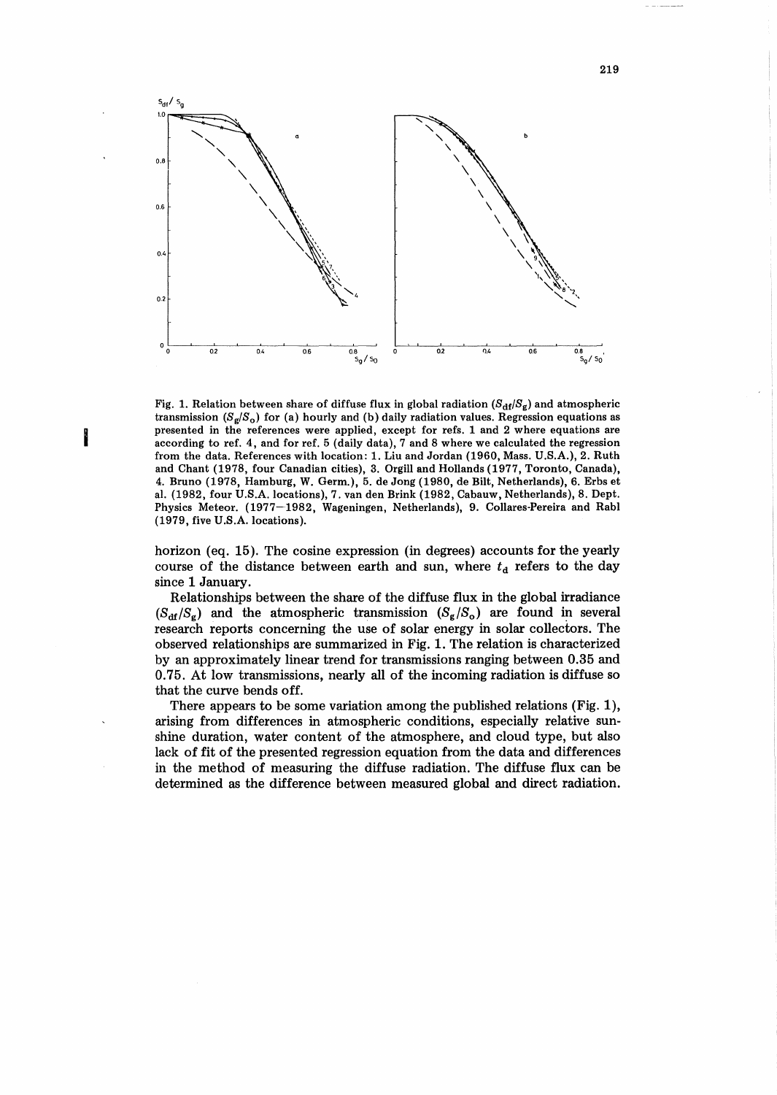

Fig. 1. Relation between share of diffuse flux in global radiation  $(S_{df}/S_g)$  and atmospheric transmission  $(S_g/S_o)$  for (a) hourly and (b) daily radiation values. Regression equations as presented in the references were applied, except for refs. 1 and 2 where equations are according to ref. 4, and for ref. 5 (daily data), 7 and 8 where we calculated the regression from the data. References with location: 1. Liu and Jordan (1960, Mass. U.S.A.), 2. Ruth and Chant (1978, four Canadian cities), 3. Orgill and Hollands (1977, Toronto, Canada), 4. Bruno (1978, Hamburg, W. Germ.), 5. de Jong (1980, de Bilt, Netherlands), 6. Erbs et al. (1982, four U.S.A. locations), 7. van den Brink (1982, Cabauw, Netherlands), 8. Dept. Physics Meteor. (1977-1982, Wageningen, Netherlands), 9. Collares-Pereira and Rabl (1979, five U.S.A. locations).

I

horizon (eq. 15). The cosine expression (in degrees) accounts for the yearly course of the distance between earth and sun, where  $t<sub>d</sub>$  refers to the day since 1 January.

Relationships between the share of the diffuse flux in the global irradiance  $(S_{\text{df}}/S_{\text{g}})$  and the atmospheric transmission  $(S_{\text{g}}/S_{\text{o}})$  are found in several research reports concerning the use of solar energy in solar collectors. The observed relationships are summarized in Fig. 1. The relation is characterized by an approximately linear trend for transmissions ranging between 0.35 and 0.75. At low transmissions, nearly all of the incoming radiation is diffuse so that the curve bends off.

There appears to be some variation among the published relations (Fig. 1), arising from differences in atmospheric conditions, especially relative sunshine duration, water content of the atmosphere, and cloud type, but also lack of fit of the presented regression equation from the data and differences in the method of measuring the diffuse radiation. The diffuse flux can be determined as the difference between measured global and direct radiation.

219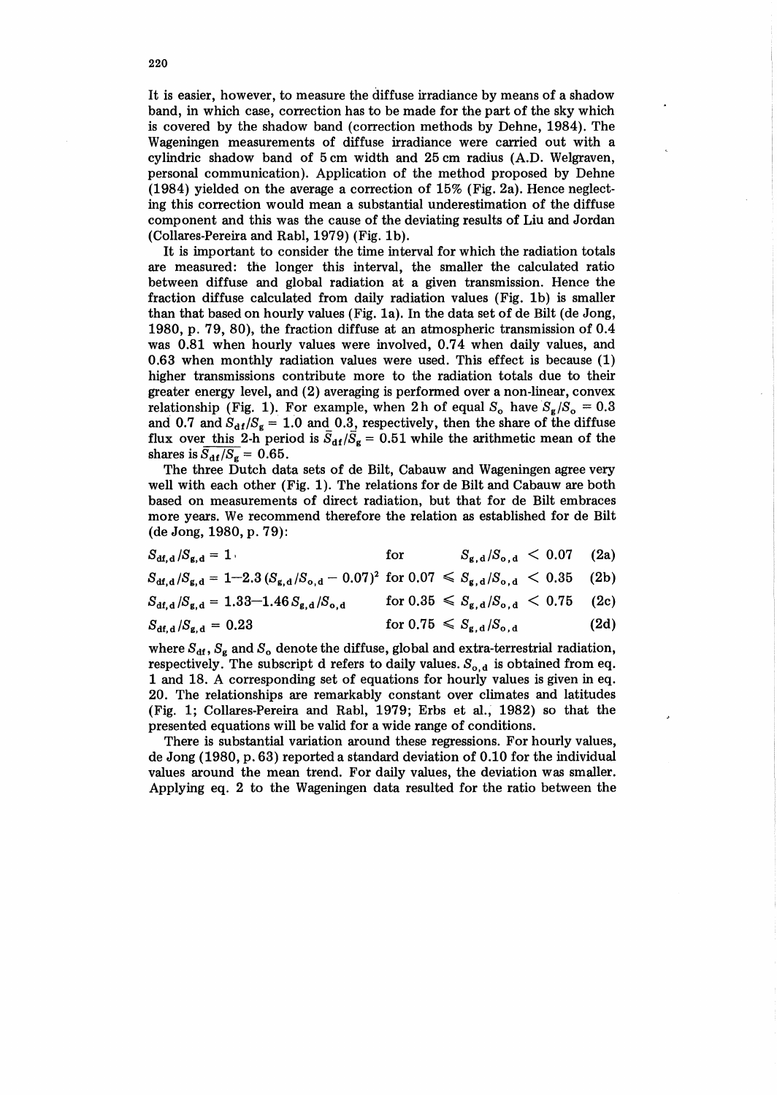It is easier, however, to measure the diffuse irradiance by means of a shadow band, in which case, correction has to be made for the part of the sky which is covered by the shadow band (correction methods by Dehne, 1984). The Wageningen measurements of diffuse irradiance were carried out with a cylindric shadow band of 5 em width and 25 em radius (A.D. Welgraven, personal communication). Application of the method proposed by Dehne (1984) yielded on the average a correction of 15% (Fig. 2a). Hence neglecting this correction would mean a substantial underestimation of the diffuse component and this was the cause of the deviating results of Liu and Jordan (Collares-Pereira and Rabl, 1979) (Fig. 1b).

It is important to consider the time interval for which the radiation totals are measured: the longer this interval, the smaller the calculated ratio between diffuse and global radiation at a given transmission. Hence the fraction diffuse calculated from daily radiation values (Fig. 1b) is smaller than that based on hourly values (Fig. 1a). In the data set of de Bilt (de Jong, 1980, p. 79, 80), the fraction diffuse at an atmospheric transmission of 0.4 was 0.81 when hourly values were involved, 0.74 when daily values, and 0.63 when monthly radiation values were used. This effect is because (1) higher transmissions contribute more to the radiation totals due to their greater energy level, and (2) averaging is performed over a non-linear, convex relationship (Fig. 1). For example, when 2h of equal  $S_0$  have  $S_g/S_0 = 0.3$ and 0.7 and  $S_{df}/S_g = 1.0$  and 0.3, respectively, then the share of the diffuse flux over this 2-h period is  $\bar{S}_{df}/\bar{S}_{g} = 0.51$  while the arithmetic mean of the shares is  $\overline{S_{df}/S_{g}} = 0.65$ .

The three Dutch data sets of de Bilt, Cabauw and Wageningen agree very well with each other (Fig. 1). The relations for de Bilt and Cabauw are both based on measurements of direct radiation, but that for de Bilt embraces more years. We recommend therefore the relation as established for de Bilt (de Jong, 1980, p. 79):

| $S_{\text{df, d}}/S_{\text{g, d}} = 1$ | for | $S_{\rm g,d}/S_{\rm o,d}$ < 0.07 (2a) |  |
|----------------------------------------|-----|---------------------------------------|--|
|                                        |     |                                       |  |

 $S_{\text{df},\text{d}}/S_{\text{g},\text{d}} = 1 - 2.3 \left( S_{\text{g},\text{d}} / S_{\text{o},\text{d}} - 0.07 \right)^2$  for  $0.07 \leq S_{\text{g},\text{d}} / S_{\text{o},\text{d}} < 0.35$  (2b)

$$
S_{\text{df},\text{d}}/S_{\text{g},\text{d}} = 1.33 - 1.46 S_{\text{g},\text{d}} / S_{\text{o},\text{d}} \quad \text{for } 0.35 \leq S_{\text{g},\text{d}} / S_{\text{o},\text{d}} < 0.75 \quad (2c)
$$

$$
S_{\mathrm{df},\mathrm{d}}/S_{\mathrm{g},\mathrm{d}} = 0.23 \quad \text{for } 0.75 \leqslant S_{\mathrm{g},\mathrm{d}}/S_{\mathrm{o},\mathrm{d}} \quad (2\mathrm{d})
$$

where  $S_{df}$ ,  $S_g$  and  $S_o$  denote the diffuse, global and extra-terrestrial radiation, respectively. The subscript d refers to daily values.  $S_{o,d}$  is obtained from eq. 1 and 18. A corresponding set of equations for hourly values is given in eq. 20. The relationships are remarkably constant over climates and latitudes (Fig. 1; Collares-Pereira and Rabl, 1979; Erbs et al.~ 1982) so that the presented equations will be valid for a wide range of conditions.

There is substantial variation around these regressions. For hourly values, de Jong (1980, p. 63) reported a standard deviation of 0.10 for the individual values around the mean trend. For daily values, the deviation was smaller. Applying eq. 2 to the Wageningen data resulted for the ratio between the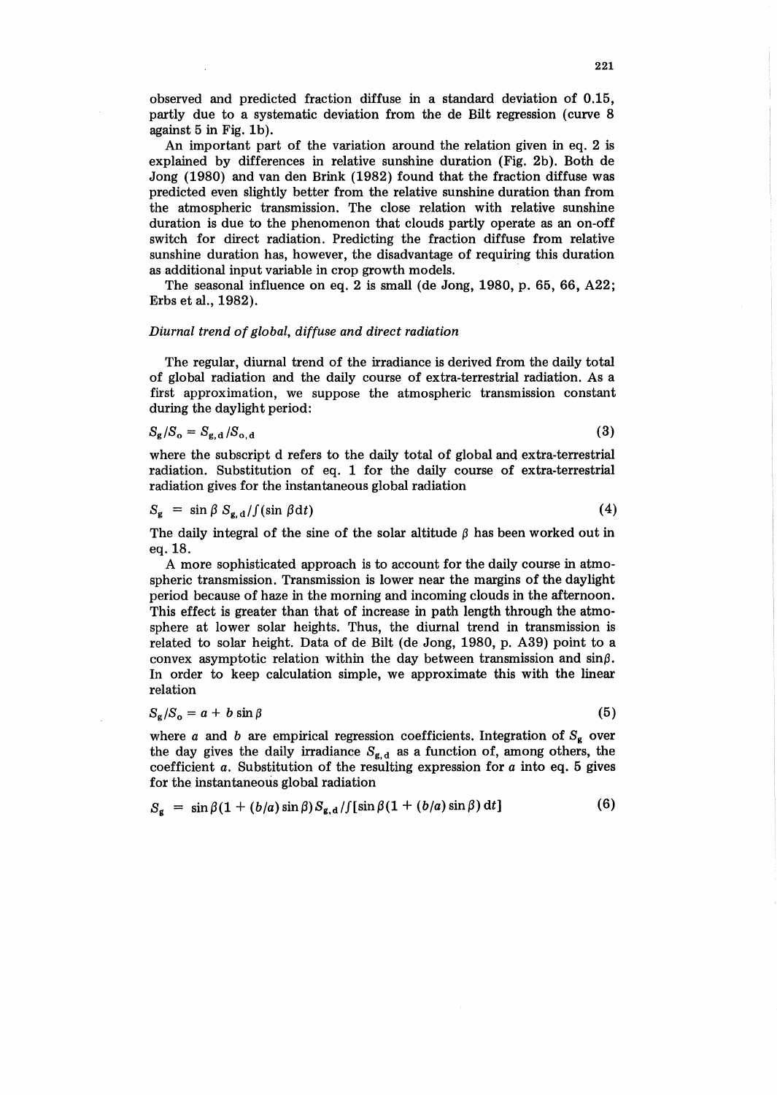observed and predicted fraction diffuse in a standard deviation of 0.15, partly due to a systematic deviation from the de Bilt regression (curve 8 against 5 in Fig. 1b).

An important part of the variation around the relation given in eq. 2 is explained by differences in relative sunshine duration (Fig. 2b). Both de Jong (1980) and van den Brink (1982) found that the fraction diffuse was predicted even slightly better from the relative sunshine duration than from the atmospheric transmission. The close relation with relative sunshine duration is due to the phenomenon that clouds partly operate as an on-off switch for direct radiation. Predicting the fraction diffuse from relative sunshine duration has, however, the disadvantage of requiring this duration as additional input variable in crop growth models.

The seasonal influence on eq. 2 is small (de Jong, 1980, p. 65, 66, A22; Erbs et al., 1982).

### *Diurnal trend of global, diffuse and direct radiation*

The regular, diurnal trend of the irradiance is derived from the daily total of global radiation and the daily course of extra-terrestrial radiation. As a first approximation, we suppose the atmospheric transmission constant during the daylight period:

$$
S_{\mathbf{g}}/S_{\mathbf{o}} = S_{\mathbf{g},\mathbf{d}}/S_{\mathbf{o},\mathbf{d}}
$$

(3)

(5)

where the subscript d refers to the daily total of global and extra-terrestrial radiation. Substitution of eq. 1 for the daily course of extra-terrestrial radiation gives for the instantaneous global radiation

$$
S_{\mathbf{g}} = \sin \beta S_{\mathbf{g}, \mathbf{d}} / \int (\sin \beta \, \mathrm{d}t) \tag{4}
$$

The daily integral of the sine of the solar altitude  $\beta$  has been worked out in eq.18.

A more sophisticated approach is to account for the daily course in atmospheric transmission. Transmission is lower near the margins of the daylight period because of haze in the morning and incoming clouds in the afternoon. This effect is greater than that of increase in path length through the atmosphere at lower solar heights. Thus, the diurnal trend in transmission is related to solar height. Data of de Bilt (de Jong, 1980, p. A39) point to a convex asymptotic relation within the day between transmission and  $\sin \beta$ . In order to keep calculation simple, we approximate this with the linear relation

$$
S_{\rm g}/S_{\rm o}=a+b\,\sin\beta
$$

where *a* and *b* are empirical regression coefficients. Integration of  $S_g$  over the day gives the daily irradiance  $S_{g,d}$  as a function of, among others, the coefficient *a.* Substitution of the resulting expression for *a* into eq. 5 gives for the instantaneous global radiation

$$
S_{\mathbf{g}} = \sin \beta (1 + (b/a) \sin \beta) S_{\mathbf{g}, \mathbf{d}} / \left[ \sin \beta (1 + (b/a) \sin \beta) \, \mathrm{d}t \right] \tag{6}
$$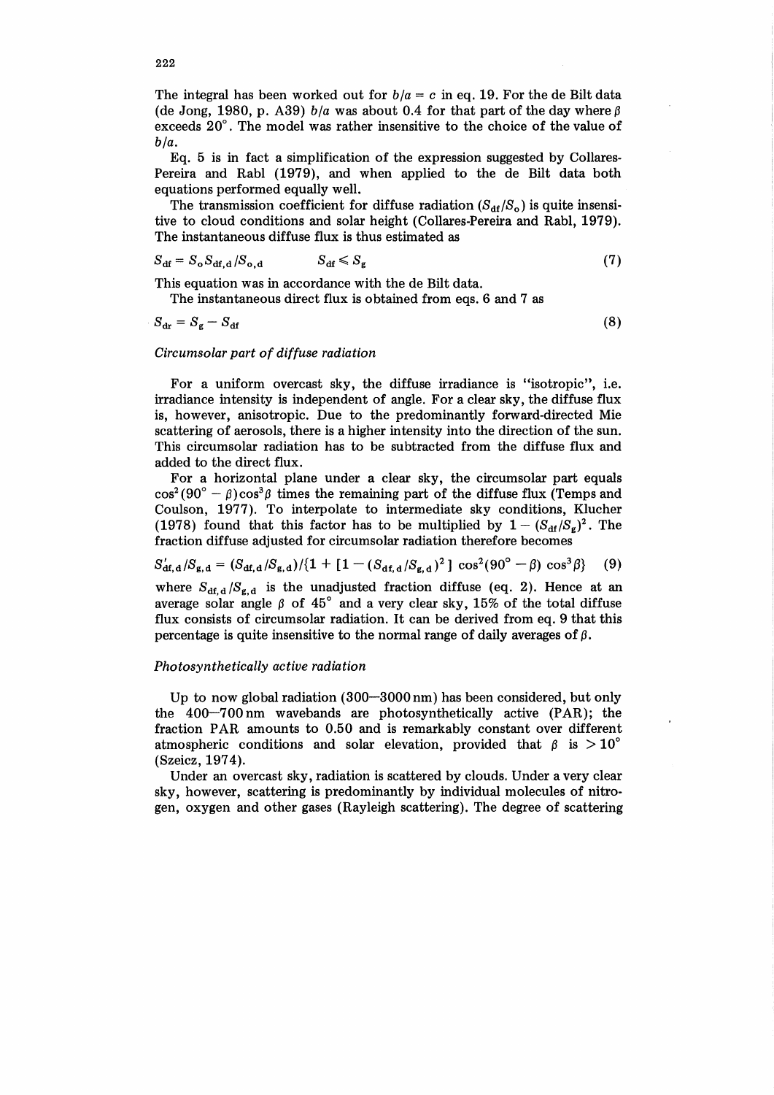The integral has been worked out for  $b/a = c$  in eq. 19. For the de Bilt data (de Jong, 1980, p. A39)  $b/a$  was about 0.4 for that part of the day where  $\beta$ exceeds 20°. The model was rather insensitive to the choice of the value of  $b/a$ .

Eq. 5 is in fact a simplification of the expression suggested by Collares-Pereira and Rabl (1979), and when applied to the de Bilt data both equations performed equally well.

The transmission coefficient for diffuse radiation  $(S_{df}/S_0)$  is quite insensitive to cloud conditions and solar height (Collares-Pereira and Rabl, 1979). The instantaneous diffuse flux is thus estimated as

$$
S_{\rm df} = S_{\rm o} S_{\rm df,d} / S_{\rm o,d} \qquad S_{\rm df} \leqslant S_{\rm g} \qquad (7)
$$

This equation was in accordance with the de Bilt data.

The instantaneous direct flux is obtained from eqs. 6 and 7 as

 $S_{\text{dr}} = S_{\text{g}} - S_{\text{df}}$  (8)

## *Circumsolar part of diffuse radiation*

For a uniform overcast sky, the diffuse irradiance is "isotropic", i.e. irradiance intensity is independent of angle. For a clear sky, the diffuse flux is, however, anisotropic. Due to the predominantly forward-directed Mie scattering of aerosols, there is a higher intensity into the direction of the sun. This circumsolar radiation has to be subtracted from the diffuse flux and added to the direct flux.

For a horizontal plane under a clear sky, the circumsolar part equals  $\cos^2(90^\circ - \beta)\cos^3\beta$  times the remaining part of the diffuse flux (Temps and Coulson, 1977). To interpolate to intermediate sky conditions, Klucher (1978) found that this factor has to be multiplied by  $1 - (S_{\text{df}}/S_{\text{g}})^2$ . The fraction diffuse adjusted for circumsolar radiation therefore becomes

$$
S'_{\text{df},\text{d}}/S_{\text{g},\text{d}} = (S_{\text{df},\text{d}}/S_{\text{g},\text{d}})/(1 + [1 - (S_{\text{df},\text{d}}/S_{\text{g},\text{d}})^2] \cos^2(90^\circ - \beta) \cos^3\beta \}
$$
(9)

where  $S_{df,d}/S_{g,d}$  is the unadjusted fraction diffuse (eq. 2). Hence at an average solar angle  $\beta$  of  $45^\circ$  and a very clear sky, 15% of the total diffuse flux consists of circumsolar radiation. It can be derived from eq. 9 that this percentage is quite insensitive to the normal range of daily averages of  $\beta$ .

### *Photosynthetically active radiation*

Up to now global radiation (300-3000 nm) has been considered, but only the 40Q-7 00 nm wavebands are photosynthetically active (PAR); the fraction PAR amounts to 0.50 and is remarkably constant over different atmospheric conditions and solar elevation, provided that  $\beta$  is  $>10^{\circ}$ (Szeicz, 197 4).

Under an overcast sky, radiation is scattered by clouds. Under a very clear sky, however, scattering is predominantly by individual molecules of nitrogen, oxygen and other gases (Rayleigh scattering). The degree of scattering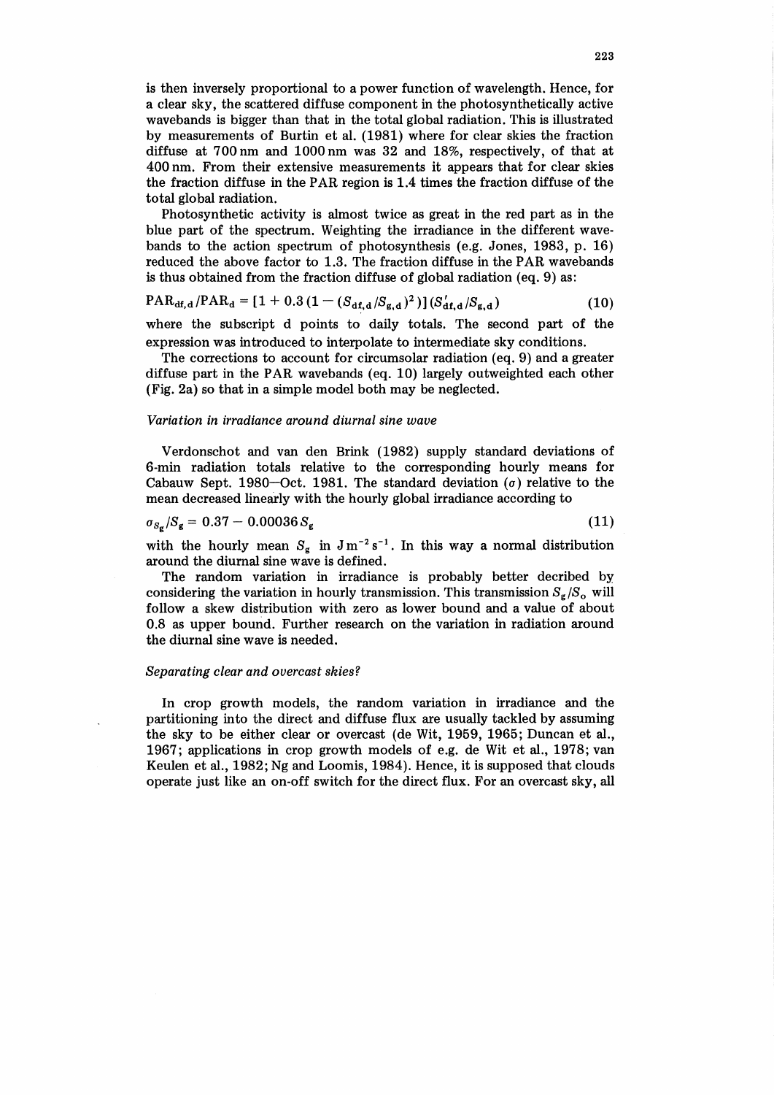is then inversely proportional to a power function of wavelength. Hence, for a clear sky, the scattered diffuse component in the photosynthetically active wavebands is bigger than that in the total global radiation. This is illustrated by measurements of Burtin et al. (1981) where for clear skies the fraction diffuse at 700 nm and 1000 nm was 32 and 18%, respectively, of that at 400 nm. From their extensive measurements it appears that for clear skies the fraction diffuse in the PAR region is 1.4 times the fraction diffuse of the total global radiation.

Photosynthetic activity is almost twice as great in the red part as in the blue part of the spectrum. Weighting the irradiance in the different wavebands to the action spectrum of photosynthesis (e.g. Jones, 1983, p. 16) reduced the above factor to 1.3. The fraction diffuse in the PAR wavebands is thus obtained from the fraction diffuse of global radiation (eq. 9) as:

$$
PAR_{df,d}/PAR_d = [1 + 0.3(1 - (S_{df,d}/S_{g,d})^2)](S_{df,d}/S_{g,d})
$$
\n(10)

where the subscript d points to daily totals. The second part of the expression was introduced to interpolate to intermediate sky conditions.

The corrections to account for circumsolar radiation (eq. 9) and a greater diffuse part in the PAR wavebands (eq. 10) largely outweighted each other (Fig. 2a) so that in a simple model both may be neglected.

## *Variation in irradiance around diurnal sine wave*

Verdonschot and van den Brink (1982) supply standard deviations of 6-min radiation totals relative to the corresponding hourly means for Cabauw Sept. 1980-Oct. 1981. The standard deviation  $(\sigma)$  relative to the mean decreased linearly with the hourly global irradiance according to

$$
\sigma_{S_{\rm g}}/S_{\rm g} = 0.37 - 0.00036 S_{\rm g} \tag{11}
$$

with the hourly mean  $S_g$  in  $Jm^{-2} s^{-1}$ . In this way a normal distribution around the diurnal sine wave is defined.

The random variation in irradiance is probably better decribed by considering the variation in hourly transmission. This transmission  $S_{\epsilon}/S_o$  will follow a skew distribution with zero as lower bound and a value of about 0.8 as upper bound. Further research on the variation in radiation around the diurnal sine wave is needed.

### *Separating clear and overcast skies?*

In crop growth models, the random variation in irradiance and the partitioning into the direct and diffuse flux are usually tackled by assuming the sky to be either clear or overcast (de Wit, 1959, 1965; Duncan et al., 1967; applications in crop growth models of e.g. de Wit et al., 1978; van Keulen et al., 1982; Ng and Loomis, 1984). Hence, it is supposed that clouds operate just like an on-off switch for the direct flux. For an overcast sky, all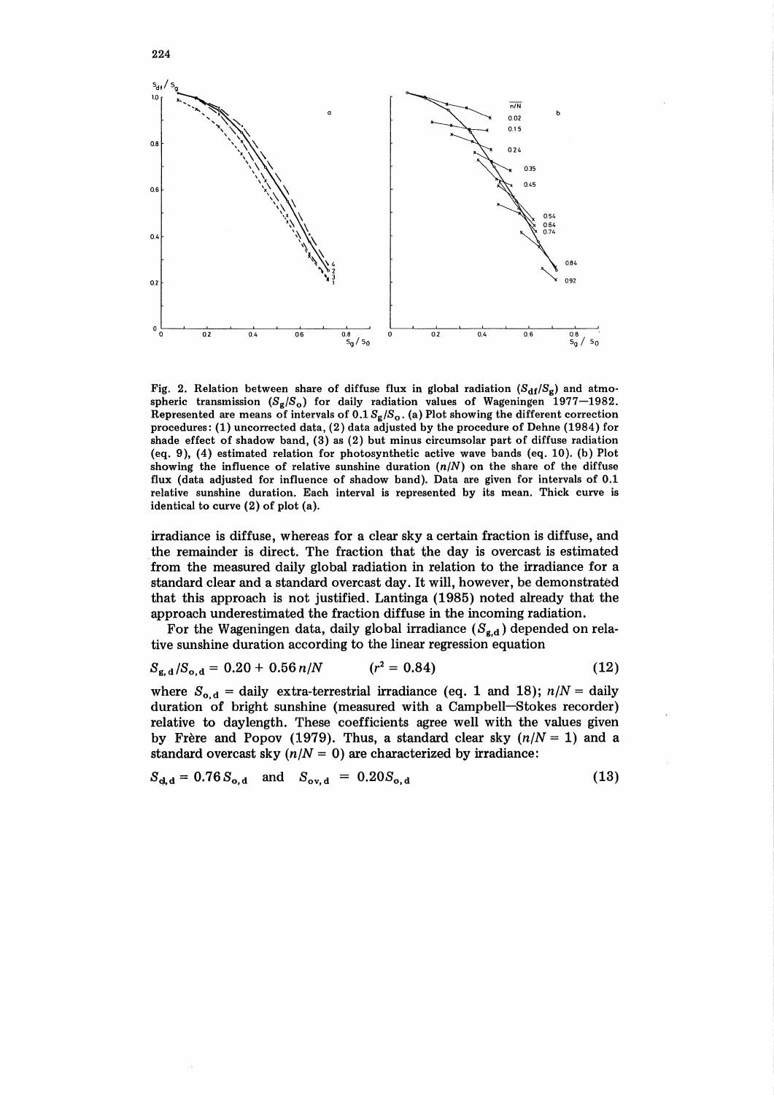

Fig. 2. Relation between share of diffuse flux in global radiation  $(S_{df}/S_g)$  and atmospheric transmission  $(S_g/S_o)$  for daily radiation values of Wageningen 1977-1982. Represented are means of intervals of  $0.1 S_g/S_o$ . (a) Plot showing the different correction procedures: (1) uncorrected data, (2) data adjusted by the procedure of Dehne (1984) for shade effect of shadow band, (3) as (2) but minus circumsolar part of diffuse radiation (eq. 9), (4) estimated relation for photosynthetic active wave bands (eq. 10). (b) Plot showing the influence of relative sunshine duration  $(n/N)$  on the share of the diffuse flux (data adjusted for influence of shadow band). Data are given for intervals of 0.1 relative sunshine duration. Each interval is represented by its mean. Thick curve is identical to curve (2) of plot (a).

irradiance is diffuse, whereas for a clear sky a certain fraction is diffuse, and . the remainder is direct. The fraction that the day is overcast is estimated from the measured daily global radiation in relation to the irradiance for a standard clear and a standard overcast day. It will, however, be demonstrated that this approach is not justified. Lantinga (1985) noted already that the approach underestimated the fraction diffuse in the incoming radiation.

For the Wageningen data, daily global irradiance  $(S_{g,d})$  depended on relative sunshine duration according to the linear regression equation

$$
S_{g,d}/S_{o,d} = 0.20 + 0.56 n/N \qquad (r^2 = 0.84)
$$
 (12)

where  $S_{o,d}$  = daily extra-terrestrial irradiance (eq. 1 and 18);  $n/N =$  daily duration of bright sunshine (measured with a Campbell-Stokes recorder) relative to daylength. These coefficients agree well with the values given by Frère and Popov (1979). Thus, a standard clear sky  $(n/N = 1)$  and a standard overcast sky  $(n/N = 0)$  are characterized by irradiance:

$$
S_{d,d} = 0.76 S_{o,d} \quad \text{and} \quad S_{ov,d} = 0.20 S_{o,d} \tag{13}
$$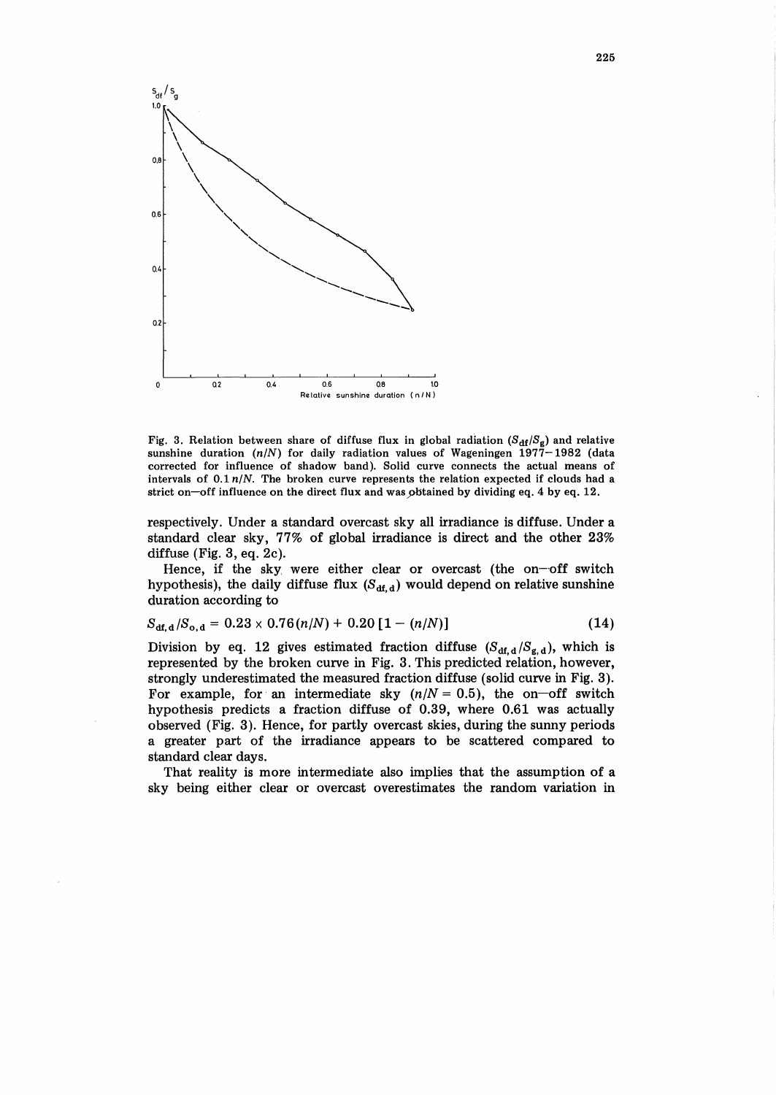

Fig. 3. Relation between share of diffuse flux in global radiation  $(S_{df}/S_g)$  and relative sunshine duration  $(n/N)$  for daily radiation values of Wageningen 1977-1982 (data corrected for influence of shadow band). Solid curve connects the actual means of intervals of  $0.1 n/N$ . The broken curve represents the relation expected if clouds had a strict on-off influence on the direct flux and was pbtained by dividing eq. 4 by eq. 12.

respectively. Under a standard overcast sky all irradiance is diffuse. Under a standard clear sky, 77% of global irradiance is direct and the other 23% diffuse (Fig. 3, eq. 2c).

Hence, if the sky were either clear or overcast (the on-off switch hypothesis), the daily diffuse flux  $(S_{df,d})$  would depend on relative sunshine duration according to

$$
S_{\text{df},\text{d}}/S_{\text{o},\text{d}} = 0.23 \times 0.76(n/N) + 0.20 [1 - (n/N)] \tag{14}
$$

Division by eq. 12 gives estimated fraction diffuse  $(S_{df,d}/S_{g,d})$ , which is represented by the broken curve in Fig. 3. This predicted relation, however, strongly underestimated the measured fraction diffuse (solid curve in Fig. 3). For example, for an intermediate sky  $(n/N = 0.5)$ , the on-off switch hypothesis predicts a fraction diffuse of 0.39, where 0.61 was actually observed (Fig. 3). Hence, for partly overcast skies, during the sunny periods a greater part of the irradiance appears to be scattered compared to standard clear days.

That reality is more intermediate also implies that the assumption of a sky being either clear or overcast overestimates the random variation in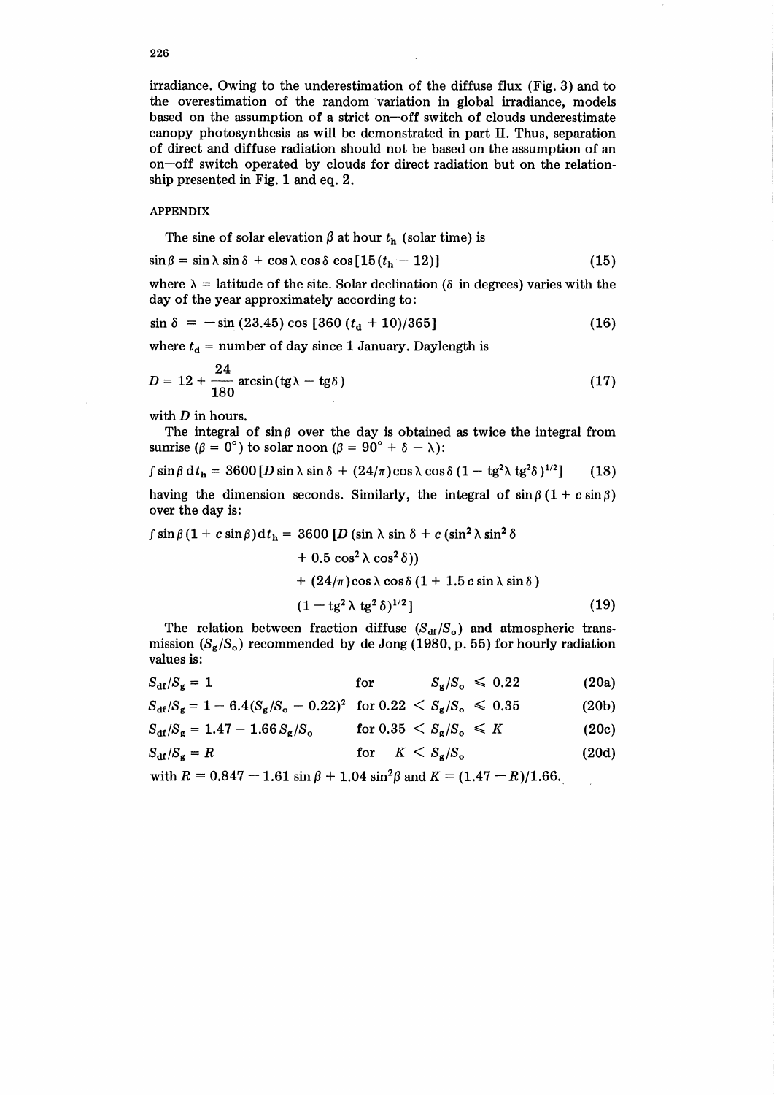irradiance. Owing to the underestimation of the diffuse flux (Fig. 3) and to the overestimation of the random variation in global irradiance, models based on the assumption of a strict on-off switch of clouds underestimate canopy photosynthesis as will be demonstrated in part II. Thus, separation of direct and diffuse radiation should not be based on the assumption of an on-off switch operated by clouds for direct radiation but on the relationship presented in Fig. 1 and eq. 2.

### APPENDIX

The sine of solar elevation  $\beta$  at hour  $t<sub>h</sub>$  (solar time) is

$$
\sin \beta = \sin \lambda \sin \delta + \cos \lambda \cos \delta \cos [15(t_h - 12)] \tag{15}
$$

where  $\lambda =$  latitude of the site. Solar declination ( $\delta$  in degrees) varies with the day of the year approximately according to:

$$
\sin \delta = -\sin (23.45) \cos [360 (td + 10)/365]
$$
 (16)

where  $t_d$  = number of day since 1 January. Daylength is

$$
D = 12 + \frac{24}{180} \arcsin(\text{tg}\lambda - \text{tg}\delta)
$$
 (17)

with  $D$  in hours.

The integral of  $\sin \beta$  over the day is obtained as twice the integral from sunrise ( $\beta = 0^{\circ}$ ) to solar noon ( $\beta = 90^{\circ} + \delta - \lambda$ ):

$$
\int \sin \beta \, dt_h = 3600 \left[ D \sin \lambda \sin \delta + (24/\pi) \cos \lambda \cos \delta \left( 1 - \text{tg}^2 \lambda \text{tg}^2 \delta \right)^{1/2} \right] \tag{18}
$$

having the dimension seconds. Similarly, the integral of  $\sin \beta (1 + c \sin \beta)$ over the day is:

$$
\int \sin \beta (1 + c \sin \beta) dt_h = 3600 [D (\sin \lambda \sin \delta + c (\sin^2 \lambda \sin^2 \delta
$$

+ 0.5 cos<sup>2</sup> 
$$
\lambda
$$
 cos<sup>2</sup>  $\delta$ ))  
+ (24/ $\pi$ ) cos  $\lambda$  cos  $\delta$  (1 + 1.5 *c* sin  $\lambda$  sin  $\delta$ )  
(1 - tg<sup>2</sup>  $\lambda$  tg<sup>2</sup>  $\delta$ )<sup>1/2</sup>] (19)

The relation between fraction diffuse  $(S_{df}/S_o)$  and atmospheric transmission  $(S_g/S_o)$  recommended by de Jong (1980, p. 55) for hourly radiation values is:

$$
S_{\rm df}/S_{\rm g} = 1 \qquad \qquad \text{for} \qquad S_{\rm g}/S_{\rm o} \leqslant 0.22 \qquad (20a)
$$

$$
S_{\rm df}/S_{\rm g} = 1 - 6.4(S_{\rm g}/S_{\rm o} - 0.22)^2 \quad \text{for } 0.22 < S_{\rm g}/S_{\rm o} \leq 0.35 \tag{20b}
$$

$$
S_{\rm df}/S_{\rm g} = 1.47 - 1.66 S_{\rm g}/S_{\rm o} \qquad \text{for } 0.35 < S_{\rm g}/S_{\rm o} \leq K \tag{20c}
$$

$$
S_{\rm df}/S_{\rm g}=R \qquad \qquad \text{for} \quad K < S_{\rm g}/S_{\rm o} \qquad \qquad (20d)
$$

with  $R = 0.847 - 1.61 \sin \beta + 1.04 \sin^2 \beta$  and  $K = (1.47 - R)/1.66$ .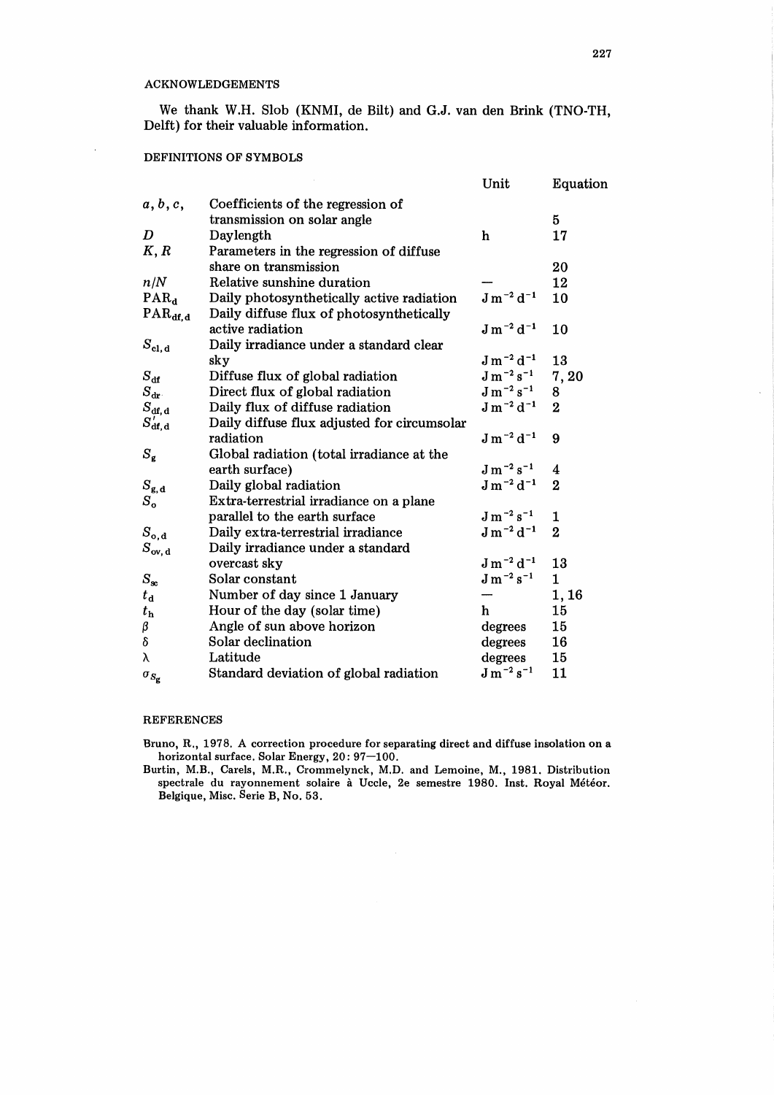We thank W.H. Slob (KNMI, de Bilt) and G.J. van den Brink (TNO-TH, Delft) for their valuable information.

## DEFINITIONS OF SYMBOLS

|                                   |                                             | Unit                         | Equation       |
|-----------------------------------|---------------------------------------------|------------------------------|----------------|
| a, b, c,                          | Coefficients of the regression of           |                              |                |
|                                   | transmission on solar angle                 |                              | 5              |
| $\bm{D}$                          | Daylength                                   | h                            | 17             |
| K, R                              | Parameters in the regression of diffuse     |                              |                |
|                                   | share on transmission                       |                              | 20             |
| n/N                               | Relative sunshine duration                  |                              | 12             |
| PAR <sub>d</sub>                  | Daily photosynthetically active radiation   | $J m^{-2} d^{-1}$            | 10             |
| $\text{PAR}_{\text{df},\text{d}}$ | Daily diffuse flux of photosynthetically    |                              |                |
|                                   | active radiation                            | $J m^{-2} d^{-1}$            | 10             |
| $S_{\rm cl. \, d}$                | Daily irradiance under a standard clear     |                              |                |
|                                   | sky                                         | $J m^{-2} d^{-1}$            | 13             |
| $S_{\rm df}$                      | Diffuse flux of global radiation            | $\mathrm{J\,m^{-2}\,s^{-1}}$ | 7,20           |
| $S_{\rm dr}$                      | Direct flux of global radiation             | $\rm J\,m^{-2}\,s^{-1}$      | 8              |
| $S_{\rm df,\,d}$                  | Daily flux of diffuse radiation             | $J m^{-2} d^{-1}$            | $\overline{2}$ |
| $S_{\sf df, d}^{\,\prime}$        | Daily diffuse flux adjusted for circumsolar |                              |                |
|                                   | radiation                                   | $J m^{-2} d^{-1}$            | 9              |
| $S_{\mathbf{g}}$                  | Global radiation (total irradiance at the   |                              |                |
|                                   | earth surface)                              | $\rm J\,m^{-2}\,s^{-1}$      | 4              |
| $S_{\bf g, d}$                    | Daily global radiation                      | $J m^{-2} d^{-1}$            | $\overline{2}$ |
| $S_{\rm o}$                       | Extra-terrestrial irradiance on a plane     |                              |                |
|                                   | parallel to the earth surface               | $\rm J\,m^{-2}\,s^{-1}$      | 1              |
| $S_{\rm o,d}$                     | Daily extra-terrestrial irradiance          | $J m^{-2} d^{-1}$            | $\overline{2}$ |
| $S_{\rm ov, d}$                   | Daily irradiance under a standard           |                              |                |
|                                   | overcast sky                                | $J m^{-2} d^{-1}$            | 13             |
| $S_{\rm sc}$                      | Solar constant                              | $J m^{-2} s^{-1}$            | $\mathbf{1}$   |
| $t_{\rm d}$                       | Number of day since 1 January               |                              | 1,16           |
| $t_{\rm h}$                       | Hour of the day (solar time)                | h                            | 15             |
| β                                 | Angle of sun above horizon                  | degrees                      | 15             |
| δ                                 | Solar declination                           | degrees                      | 16             |
| λ                                 | Latitude                                    | degrees                      | 15             |
| $\sigma_{S_{\alpha}}$             | Standard deviation of global radiation      | $\rm J\,m^{-2}\,s^{-1}$      | 11             |

## REFERENCES

Bruno, R., 1978. A correction procedure for separating direct and diffuse insolation on a horizontal surface. Solar Energy, 20: 97-100.

Burtin, M.B., Carels, M.R., Crommelynck, M.D. and Lemoine, M., 1981. Distribution spectrale du rayonnement solaire à Uccle, 2e semestre 1980. Inst. Royal Météor. Belgique, Misc. Serie B, No. 53.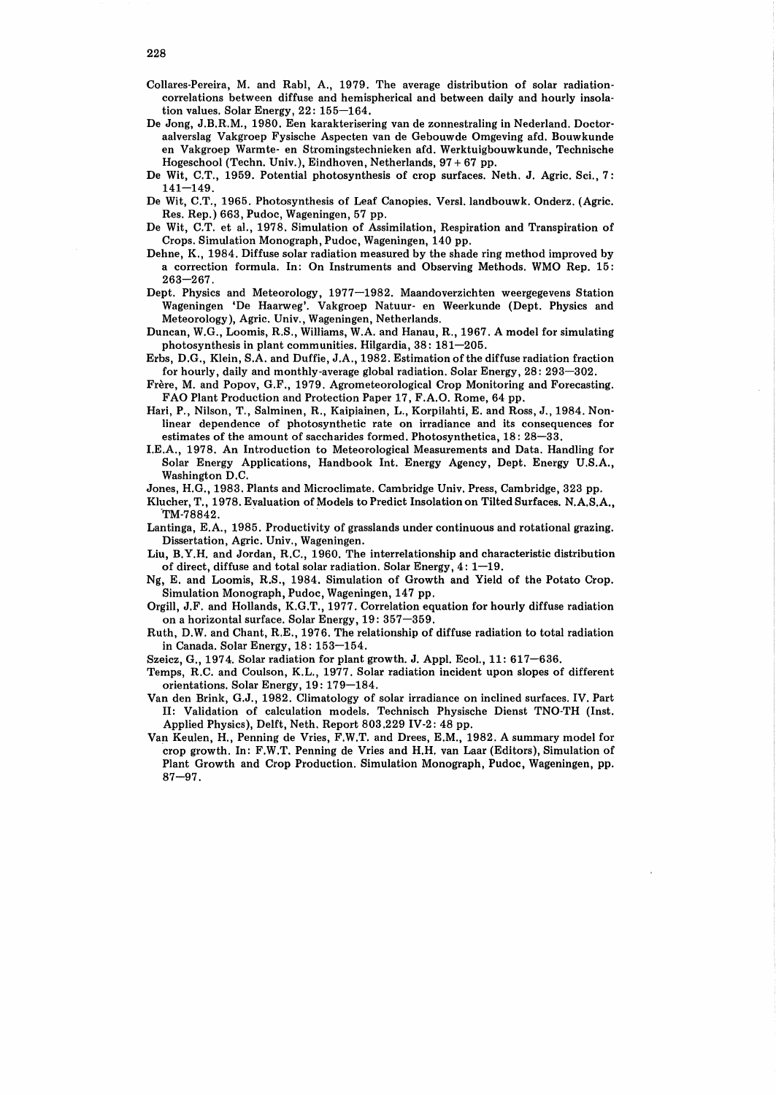- Collares-Pereira, M. and Rabl, A., 1979. The average distribution of solar radiationcorrelations between diffuse and hemispherical and between daily and hourly insolation values. Solar Energy, 22: 155-164.
- De Jong, J.B.R.M., 1980. Een karakterisering van de zonnestraling in Nederland. Doctoraalverslag Vakgroep Fysische Aspecten van de Gebouwde Omgeving afd. Bouwkunde en Vakgroep Warmte- en Stromingstechnieken afd. Werktuigbouwkunde, Technische Hogeschool (Techn. Univ.), Eindhoven, Netherlands, 97 + 67 pp.
- De Wit, C.T., 1959. Potential photosynthesis of crop surfaces. Neth. J. Agric. Sci., 7:  $141 - 149$ .
- De Wit, C.T., 1965. Photosynthesis of Leaf Canopies. Versl. landbouwk. Onderz. (Agric. Res. Rep.) 663, Pudoc, Wageningen, 57 pp.
- De Wit, C.T. et al., 1978. Simulation of Assimilation, Respiration and Transpiration of Crops. Simulation Monograph, Pudoc, Wageningen, 140 pp.
- Dehne, K., 1984. Diffuse solar radiation measured by the shade ring method improved by a correction formula. In: On Instruments and Observing Methods. WMO Rep. 15:  $263 - 267$ .
- Dept. Physics and Meteorology, 1977-1982. Maandoverzichten weergegevens Station Wageningen 'De Haarweg'. Vakgroep Natuur- en Weerkunde (Dept. Physics and Meteorology), Agric. Univ., Wageningen, Netherlands.
- Duncan, W.G., Loomis, R.S., Williams, W.A. and Hanau, R., 1967. A model for simulating photosynthesis in plant communities. Hilgardia, 38: 181-205.
- Erbs, D.G., Klein, S.A. and Duffie, J.A., 1982. Estimation of the diffuse radiation fraction for hourly, daily and monthly-average global radiation. Solar Energy, 28: 293-302.
- Frere, M. and Popov, G.F., 1979. Agrometeorological Crop Monitoring and Forecasting. FAO Plant Production and Protection Paper 17, F.A.O. Rome, 64 pp.
- Hari, P., Nilson, T., Salminen, R., Kaipiainen, L., Korpilahti, E. and Ross, J., 1984. Nonlinear dependence of photosynthetic rate on irradiance and its consequences for estimates of the amount of saccharides formed. Photosynthetica, 18: 28-33.
- I.E.A., 1978. An Introduction to Meteorological Measurements and Data. Handling for Solar Energy Applications, Handbook Int. Energy Agency, Dept. Energy U.S.A., Washington D.C.
- Jones, H.G., 1983. Plants and Microclimate. Cambridge Univ. Press, Cambridge, 323 pp.
- Klucher, T., 1978. Evaluation of Models to Predict Insolation on Tilted Surfaces. N.A.S.A., TM-78842.
- Lantinga, E.A., 1985. Productivity of grasslands under continuous and rotational grazing. Dissertation, Agric. Univ., Wageningen.
- Liu, B. Y.H. and Jordan, R.C., 1960. The interrelationship and characteristic distribution of direct, diffuse and total solar radiation. Solar Energy, 4: 1-19.
- Ng, E. and Loomis, R.S., 1984. Simulation of Growth and Yield of the Potato Crop. Simulation Monograph, Pudoc, Wageningen, 147 pp.
- Orgill, J.F. and Hollands, K.G.T., 1977. Correlation equation for hourly diffuse radiation on a horizontal surface. Solar Energy, 19: 357-359.
- Ruth, D.W. and Chant, R.E., 1976. The relationship of diffuse radiation to total radiation in Canada. Solar Energy, 18: 153-154.
- Szeicz, G., 1974. Solar radiation for plant growth. J. Appl. Ecol., 11: 617-636.
- Temps, R.C. and Coulson, K.L., 1977. Solar radiation incident upon slopes of different orientations. Solar Energy, 19: 179-184.
- Van den Brink, G.J., 1982. Climatology of solar irradiance on inclined surfaces. IV. Part II: Validation of calculation models. Technisch Physische Dienst TNO-TH (Inst. Applied Physics), Delft, Neth. Report 803.229 IV-2: 48 pp.
- Van Keulen, H., Penning de Vries, F.W.T. and Drees, E.M., 1982. A summary model for .crop growth. In: F.W.T. Penning de Vries and H.H. van Laar (Editors), Simulation of Plant Growth and Crop Production. Simulation Monograph, Pudoc, Wageningen, pp.  $87 - 97$ .